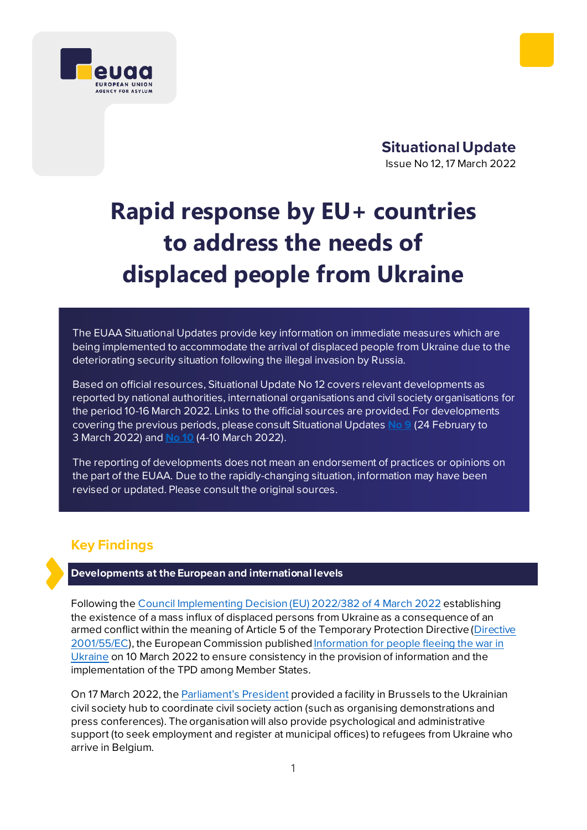

**Situational Update**  Issue No 12, 17 March 2022

# **Rapid response by EU+ countries to address the needs of displaced people from Ukraine**

The EUAA Situational Updates provide key information on immediate measures which are being implemented to accommodate the arrival of displaced people from Ukraine due to the deteriorating security situation following the illegal invasion by Russia.

Based on official resources, Situational Update No 12 covers relevant developments as reported by national authorities, international organisations and civil society organisations for the period 10-16 March 2022. Links to the official sources are provided. For developments covering the previous periods, please consul[t Situational Updates](https://euaa.europa.eu/sites/default/files/publications/2022-03/2022_situational_update_9_Ukraine_EN_1.pdf) **No 9** (24 February to 3 March 2022) and **[No](https://euaa.europa.eu/publications/rapid-response-eu-countries-address-needs-displaced-people-ukraine-0) 10** (4-10 March 2022).

The reporting of developments does not mean an endorsement of practices or opinions on the part of the EUAA. Due to the rapidly-changing situation, information may have been revised or updated. Please consult the original sources.

## **Key Findings**

#### **Developments at the European and international levels**

Following the [Council Implementing Decision \(EU\) 2022/382 of 4](https://eur-lex.europa.eu/legal-content/EN/TXT/?uri=uriserv%3AOJ.L_.2022.071.01.0001.01.ENG&toc=OJ%3AL%3A2022%3A071%3ATOC) March 2022 establishing the existence of a mass influx of displaced persons from Ukraine as a consequence of an armed conflict within the meaning of Article 5 of the Temporary Protection Directive [\(Directive](https://eur-lex.europa.eu/legal-content/EN/TXT/?uri=celex%3A32001L0055)  [2001/55/EC\)](https://eur-lex.europa.eu/legal-content/EN/TXT/?uri=celex%3A32001L0055), the European Commission published Information for people fleeing the war in [Ukraine](https://ec.europa.eu/info/strategy/priorities-2019-2024/stronger-europe-world/eu-solidarity-ukraine/eu-assistance-ukraine/information-people-fleeing-war-ukraine_en) on 10 March 2022 to ensure consistency in the provision of information and the implementation of the TPD among Member States.

On 17 March 2022, the **Parliament's President** provided a facility in Brussels to the Ukrainian civil society hub to coordinate civil society action (such as organising demonstrations and press conferences). The organisation will also provide psychological and administrative support (to seek employment and register at municipal offices) to refugees from Ukraine who arrive in Belgium.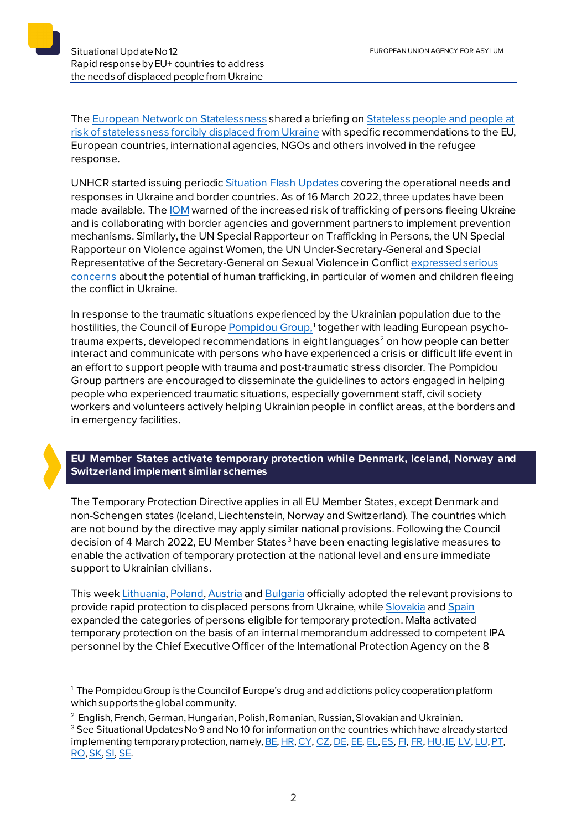Th[e European Network on Statelessness](https://www.statelessness.eu/statelessness-ukraine-crisis) shared a briefing o[n Stateless people and people at](https://www.statelessness.eu/updates/publications/stateless-people-and-people-risk-statelessness-forcibly-displaced-ukraine?mc_cid=4f3cc966c4&mc_eid=339b3e75ac)  [risk of statelessness forcibly displaced from Ukraine](https://www.statelessness.eu/updates/publications/stateless-people-and-people-risk-statelessness-forcibly-displaced-ukraine?mc_cid=4f3cc966c4&mc_eid=339b3e75ac) with specific recommendations to the EU, European countries, international agencies, NGOs and others involved in the refugee response.

UNHCR started issuing periodic [Situation Flash Updates](https://data2.unhcr.org/en/situations/ukraine) covering the operational needs and responses in Ukraine and border countries. As of 16 March 2022, three updates have been made available. Th[e IOM](https://www.iom.int/news/iom-warns-increased-risk-trafficking-persons-people-fleeing-ukraine) warned of the increased risk of trafficking of persons fleeing Ukraine and is collaborating with border agencies and government partners to implement prevention mechanisms. Similarly, the UN Special Rapporteur on Trafficking in Persons, the UN Special Rapporteur on Violence against Women, the UN Under-Secretary-General and Special Representative of the Secretary-General on Sexual Violence in Conflic[t expressed serious](https://www.ohchr.org/en/press-releases/2022/03/ukraine-armed-conflict-and-displacement-heightens-risks-all-forms-sexual)  [concerns](https://www.ohchr.org/en/press-releases/2022/03/ukraine-armed-conflict-and-displacement-heightens-risks-all-forms-sexual) about the potential of human trafficking, in particular of women and children fleeing the conflict in Ukraine.

In response to the traumatic situations experienced by the Ukrainian population due to the hostilities, the Council of Europe <u>Pompidou Group,</u>[1](#page-1-0) together with leading European psycho-trauma experts, developed recommendations in eight languages<sup>[2](#page-1-1)</sup> on how people can better interact and communicate with persons who have experienced a crisis or difficult life event in an effort to support people with trauma and post-traumatic stress disorder. The Pompidou Group partners are encouraged to disseminate the guidelines to actors engaged in helping people who experienced traumatic situations, especially government staff, civil society workers and volunteers actively helping Ukrainian people in conflict areas, at the borders and in emergency facilities.

## **EU Member States activate temporary protection while Denmark, Iceland, Norway and Switzerland implement similar schemes**

The Temporary Protection Directive applies in all EU Member States, except Denmark and non-Schengen states (Iceland, Liechtenstein, Norway and Switzerland). The countries which are not bound by the directive may apply similar national provisions. Following the Council decision of 4 March 2022, EU Member States<sup>[3](#page-1-2)</sup> have been enacting legislative measures to enable the activation of temporary protection at the national level and ensure immediate support to Ukrainian civilians.

This wee[k Lithuania,](https://vrm.lrv.lt/lt/naujienos/pritarta-laikinosios-apsaugos-suteikimui-ukrainos-pabegeliams) [Poland,](http://orka.sejm.gov.pl/proc9.nsf/ustawy/2069_u.htm) [Austria](https://www.parlament.gv.at/PAKT/PR/JAHR_2022/PK0261/index.shtml) and [Bulgaria](https://ukraine.gov.bg/2022/03/11/information-about-temporary-protection/) officially adopted the relevant provisions to provide rapid protection to displaced persons from Ukraine, whil[e Slovakia](https://www.minv.sk/?tlacove-spravy&sprava=rozsiruje-sa-okruh-osob-ktore-mozu-na-slovensku-poziadat-o-docasne-utocisko) an[d Spain](https://www.boe.es/boe/dias/2022/03/10/pdfs/BOE-A-2022-3716.pdf?utm_campaign=Legislaci%C3%B3n%20Diaria%2010%20de%20Marzo%20de%202022&utm_medium=email&utm_source=Mailjet) expanded the categories of persons eligible for temporary protection. Malta activated temporary protection on the basis of an internal memorandum addressed to competent IPA personnel by the Chief Executive Officer of the International Protection Agency on the 8

<span id="page-1-0"></span><sup>&</sup>lt;sup>1</sup> The Pompidou Group is the Council of Europe's drug and addictions policy cooperation platform which supports the global community.

<span id="page-1-1"></span><sup>2</sup> English, French, German, Hungarian, Polish, Romanian, Russian, Slovakian and Ukrainian.

<span id="page-1-2"></span><sup>&</sup>lt;sup>3</sup> See Situational Updates No 9 and No 10 for information on the countries which have already started implementing temporary protection, namel[y, BE](https://dofi.ibz.be/en/themes/ukraine/temporary-protection)[, HR,](https://mup.gov.hr/vijesti/vlada-prihvatila-odluku-o-uvodjenju-privremene-zastite-u-republici-hrvatskoj-za-raseljene-osobe-iz-ukrajine/288564) [CY,](http://www.moi.gov.cy/moi/asylum/asylumservice.nsf/All/3BFEC5EBDF867909C22588010054933B?OpenDocument) [CZ](https://www.mvcr.cz/clanek/od-zitrka-plati-nova-pravidla-pro-registraci-ukrajincu-pomohou-preplnenym-krajskym-centrum.aspx)[, DE,](https://www.bamf.de/DE/Themen/AsylFluechtlingsschutz/ResettlementRelocation/InformationenEinreiseUkraine/informationen-einreise-ukraine-node.html#doc1110318bodyText1) [EE,](https://www.politsei.ee/et/juhend/info-seoses-ukraina-sojaga/ajutine-kaitse-ukraina-kodanikele-ja-nende-pereliikmetele) [EL,](https://migration.gov.gr/en/energopoieitai-to-kathestos-prosorinis-prostasias-ektopismenon-atomon-apo-tin-oykrania%ef%bf%bc/) [ES,](https://www.cear.es/guia-sobre-el-asilo-en-espana-para-personas-afectadas-por-la-guerra-en-ucrania/) [FI,](https://migri.fi/tilapainen-suojelu) [FR,](https://www.interieur.gouv.fr/actualites/dossiers/situation-en-ukraine/information-a-destination-des-personnes-deplacees-dukraine) [HU,](https://magyarkozlony.hu/dokumentumok/d98058216e0e225e56baf304d5470bc38736c590/megtekintes) [IE,](https://www.gov.ie/en/campaigns/bc537-irelands-response-to-the-situation-in-ukraine/?referrer=http://www.gov.ie/ukraine/) [LV,](https://titania.saeima.lv/LIVS13/saeimalivs13.nsf/webSasaiste?OpenView&restricttocategory=1369/Lp13) [LU,](https://guichet.public.lu/fr/citoyens/immigration/ukraine/protection-temporaire.html) PT, [RO,](https://gov.ro/ro/media/comunicate/informatie-de-presa-privind-acte-normative-aprobate-in-edinta-guvernului-romaniei-din-7-martie-2022&page=1) [SK,](https://www.minv.sk/?tlacove-spravy&sprava=poziadat-o-docasne-utocisko-mozno-aj-vo-velkokapacitnych-centrach-v-humennom-michalovciach-a-v-bratislave) [SI,](https://www.uradni-list.si/glasilo-uradni-list-rs/vsebina/2022-01-0648/sklep-o-uvedbi-zacasne-zascite-za-razseljene-osebe-iz-ukrajine) [SE.](https://www.migrationsverket.se/English/About-the-Migration-Agency/The-situation-in-Ukraine.html)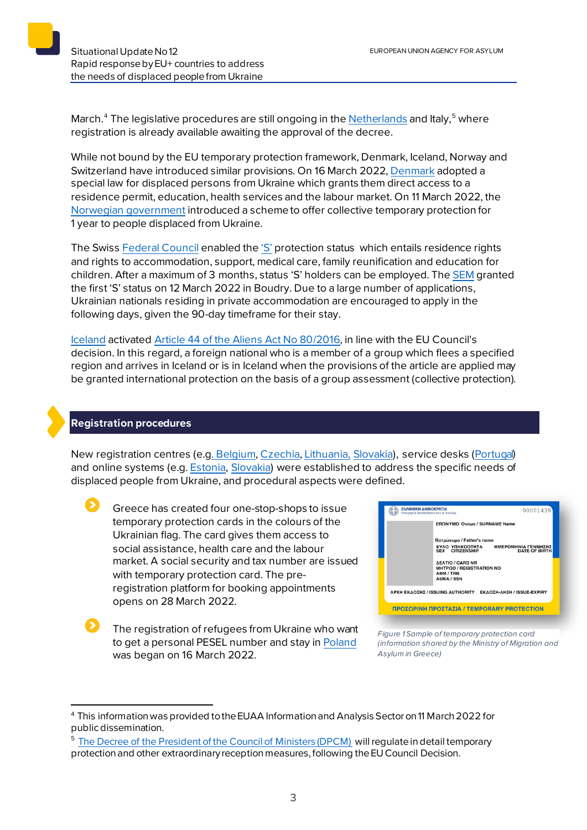March.<sup>[4](#page-2-0)</sup> The legislative procedures are still ongoing in the <u>Netherlands</u> and Italy,<sup>[5](#page-2-1)</sup> where registration is already available awaiting the approval of the decree.

While not bound by the EU temporary protection framework, Denmark, Iceland, Norway and Switzerland have introduced similar provisions. On 16 March 2022[, Denmark](https://uim.dk/nyhedsarkiv/2022/marts/et-bredt-folketingsflertal-vedtager-lov-for-fordrevne-ukrainere/) adopted a special law for displaced persons from Ukraine which grants them direct access to a residence permit, education, health services and the labour market. On 11 March 2022, the [Norwegian government](https://www.regjeringen.no/en/aktuelt/temporary-collective-protection-for-ukrainian-refugees/id2903930/) introduced a scheme to offer collective temporary protection for 1 year to people displaced from Ukraine.

The Swis[s Federal Council](https://www.sem.admin.ch/dam/sem/de/data/asyl/faktenblatt-schutzstatus-s.pdf) enabled the ['S'](https://www.sem.admin.ch/sem/en/home/themen/aufenthalt/nicht_eu_efta/ausweis_s__schutzbeduerftige.html) protection status which entails residence rights and rights to accommodation, support, medical care, family reunification and education for children. After a maximum of 3 months, status 'S' holders can be employed. Th[e SEM](https://twitter.com/SEMIGRATION/status/1502597841457491969?cxt=HHwWgsC9xdKxptopAAAA) granted the first 'S' status on 12 March 2022 in Boudry. Due to a large number of applications, Ukrainian nationals residing in private accommodation are encouraged to apply in the following days, given the 90-day timeframe for their stay.

[Iceland](https://www.stjornarradid.is/efst-a-baugi/frettir/stok-frett/2022/03/04/Domsmalaradherra-heimilar-timabundna-vernd-vegna-fjoldaflotta/) activated [Article 44 of the](https://www.government.is/library/04-Legislation/Foreign_Nationals_Act.pdf) Aliens Act No 80/2016, in line with the EU Council's decision. In this regard, a foreign national who is a member of a group which flees a specified region and arrives in Iceland or is in Iceland when the provisions of the article are applied may be granted international protection on the basis of a group assessment (collective protection).

## **Registration procedures**

New registration centres (e.[g. Belgium,](https://info-ukraine.be/en/newsroom/temporary-protection) [Czechia,](https://www.mvcr.cz/clanek/od-zitrka-plati-nova-pravidla-pro-registraci-ukrajincu-pomohou-preplnenym-krajskym-centrum.aspx) [Lithuania,](https://vrm.lrv.lt/lt/naujienos/pabegeliu-is-ukrainos-registracija-vykdys-dar-trys-centrai-didziuosiuose-miestuose) [Slovakia\)](https://www.minv.sk/?tlacove-spravy&sprava=v-michalovciach-zacalo-fungovat-multifunkcne-velkokapacitne-centrum-na-pomoc-utecencom), service desks [\(Portugal\)](https://twitter.com/ainterna_pt/status/1499796204737155074?cxt=HHwWhMCyrfasrNApAAAA) and online systems (e.g. [Estonia,](https://broneering.politsei.ee/) [Slovakia\)](https://www.minv.sk/?tlacove-spravy&sprava=pri-ziadosti-o-docasne-utocisko-mozno-vyuzit-elektronicky-registracny-formular) were established to address the specific needs of displaced people from Ukraine, and procedural aspects were defined.

Greece has created four one-stop-shops to issue temporary protection cards in the colours of the Ukrainian flag. The card gives them access to social assistance, health care and the labour market. A social security and tax number are issued with temporary protection card. The preregistration platform for booking appointments opens on 28 March 2022.



The registration of refugees from Ukraine who want to get a personal PESEL number and stay i[n Poland](https://www.gov.pl/web/mswia/system-rejestracji-uchodzcow-z-ukrainy-ruszy-16-marca) was began on 16 March 2022.

*Figure 1 Sample of temporary protection card (information shared by the Ministry of Migration and Asylum in Greece)*

<span id="page-2-0"></span><sup>4</sup> This information was provided tothe EUAA Information and Analysis Sector on 11 March 2022 for public dissemination.

<span id="page-2-1"></span><sup>&</sup>lt;sup>5</sup> The Decree of [the President of the Council of Ministers \(DPCM\)](https://integrazionemigranti.gov.it/it-it/Ricerca-news/Dettaglio-news/id/2373/Protezione-temporanea-emergenza-Ucraina-domande-in-Questura) will regulate in detail temporary protection and other extraordinary reception measures, following the EU Council Decision.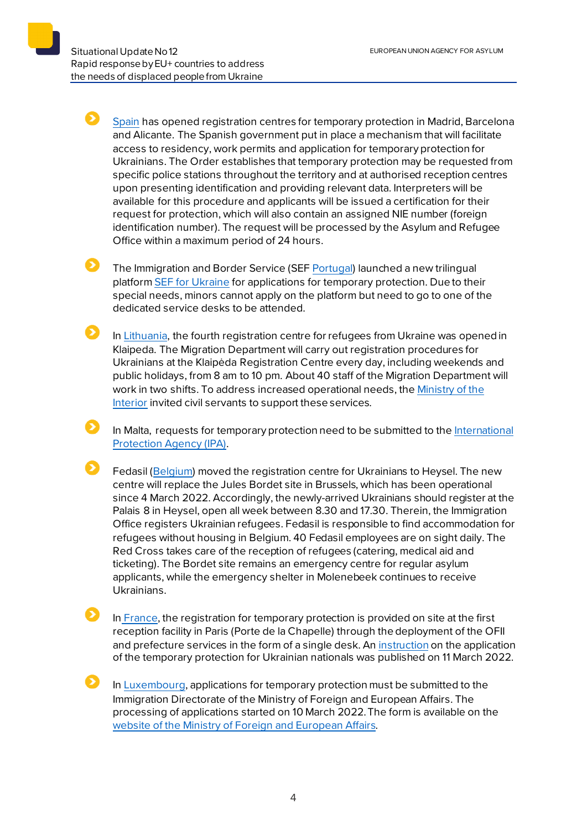51

Ø

[Spain](https://www.inclusion.gob.es/es/ucrania/protecciontemporal/index.htm) has opened registration centres for temporary protection in Madrid, Barcelona and Alicante. The Spanish government put in place a mechanism that will facilitate access to residency, work permits and application for temporary protection for Ukrainians. The Order establishes that temporary protection may be requested from specific police stations throughout the territory and at authorised reception centres upon presenting identification and providing relevant data. Interpreters will be available for this procedure and applicants will be issued a certification for their request for protection, which will also contain an assigned NIE number (foreign identification number). The request will be processed by the Asylum and Refugee Office within a maximum period of 24 hours.

The Immigration and Border Service (SEF [Portugal\)](https://www.portugal.gov.pt/pt/gc22/comunicacao/noticia?i=lancada-plataforma-online-para-pedidos-de-protecao-temporaria) launched a new trilingual platform [SEF for Ukraine](https://sefforukraine.sef.pt/) for applications for temporary protection. Due to their special needs, minors cannot apply on the platform but need to go to one of the dedicated service desks to be attended.

In [Lithuania,](https://vrm.lrv.lt/lt/naujienos/klaipedoje-pradejo-veikti-ukrainieciu-registracijos-centras) the fourth registration centre for refugees from Ukraine was opened in Klaipeda. The Migration Department will carry out registration procedures for Ukrainians at the Klaipėda Registration Centre every day, including weekends and public holidays, from 8 am to 10 pm. About 40 staff of the Migration Department will work in two shifts. To address increased operational needs, th[e Ministry of the](https://vrm.lrv.lt/lt/naujienos/kvieciame-valstybes-tarnautojus-savanoriauti-ukrainieciu-registracijos-centruose)  [Interior](https://vrm.lrv.lt/lt/naujienos/kvieciame-valstybes-tarnautojus-savanoriauti-ukrainieciu-registracijos-centruose) invited civil servants to support these services.

In Malta, requests for temporary protection need to be submitted to the [International](https://homeaffairs.gov.mt/en/MHAS-Departments/International%20Protection%20Agency/Pages/Refugee.aspx)  [Protection Agency \(IPA\).](https://homeaffairs.gov.mt/en/MHAS-Departments/International%20Protection%20Agency/Pages/Refugee.aspx)

Fedasil [\(Belgium\)](https://www.fedasil.be/fr/actualites/accueil-des-demandeurs-dasile/ouverture-du-centre-denregistrement-au-heysel) moved the registration centre for Ukrainians to Heysel. The new centre will replace the Jules Bordet site in Brussels, which has been operational since 4 March 2022. Accordingly, the newly-arrived Ukrainians should register at the Palais 8 in Heysel, open all week between 8.30 and 17.30. Therein, the Immigration Office registers Ukrainian refugees. Fedasil is responsible to find accommodation for refugees without housing in Belgium. 40 Fedasil employees are on sight daily. The Red Cross takes care of the reception of refugees (catering, medical aid and ticketing). The Bordet site remains an emergency centre for regular asylum applicants, while the emergency shelter in Molenebeek continues to receive Ukrainians.

In [France,](https://www.ofii.fr/conference-de-presse-sur-les-deplaces-ukrainiens-place-beauvau/) the registration for temporary protection is provided on site at the first reception facility in Paris (Porte de la Chapelle) through the deployment of the OFII and prefecture services in the form of a single desk. A[n instruction](https://www.legifrance.gouv.fr/download/pdf/circ?id=45302) on the application of the temporary protection for Ukrainian nationals was published on 11 March 2022.

In [Luxembourg,](https://guichet.public.lu/fr/citoyens/immigration/ukraine/protection-temporaire.html) applications for temporary protection must be submitted to the Immigration Directorate of the Ministry of Foreign and European Affairs. The processing of applications started on 10 March 2022.The form is available on the [website of the Ministry of Foreign and European Affairs.](https://maee.gouvernement.lu/fr/services-aux-citoyens/accueil-de-personnes-ukraine.html)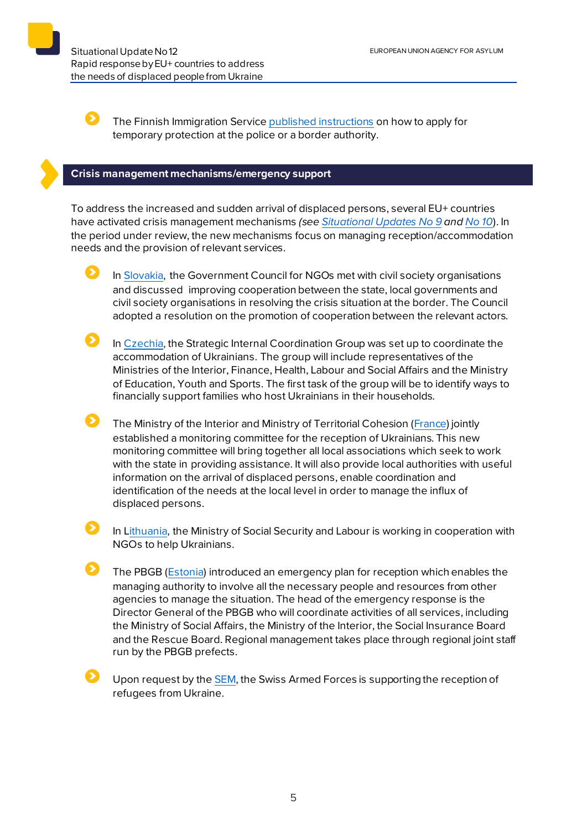Situational Update No12EUROPEAN UNION AGENCY FOR ASYLUM Rapid response by EU+ countries to address the needs of displaced people from Ukraine

Б

The Finnish Immigration Servic[e published instructions](https://migri.fi/tilapainen-suojelu) on how to apply for temporary protection at the police or a border authority.

## **Crisis management mechanisms/emergency support**

To address the increased and sudden arrival of displaced persons, several EU+ countries have activated crisis management mechanisms *(se[e Situational Updates](https://euaa.europa.eu/sites/default/files/publications/2022-03/2022_situational_update_9_Ukraine_EN_1.pdf) No 9 and [No](https://euaa.europa.eu/publications/rapid-response-eu-countries-address-needs-displaced-people-ukraine-0) 10*). In the period under review, the new mechanisms focus on managing reception/accommodation needs and the provision of relevant services.

In [Slovakia,](https://www.minv.sk/?tlacove-spravy&sprava=situaciu-na-hraniciach-bude-koordinovat-nadrezortna-pracovna-skupina-ustredneho-krizoveho-stabu) the Government Council for NGOs met with civil society organisations and discussed improving cooperation between the state, local governments and civil society organisations in resolving the crisis situation at the border. The Council adopted a resolution on the promotion of cooperation between the relevant actors.

 $\mathbf{\Omega}$  . In [Czechia,](https://www.mvcr.cz/clanek/vznikne-meziresortni-strategicka-skupina-pro-koordinaci-aktualni-situace-na-nasem-uzemi.aspx) the Strategic Internal Coordination Group was set up to coordinate the accommodation of Ukrainians. The group will include representatives of the Ministries of the Interior, Finance, Health, Labour and Social Affairs and the Ministry of Education, Youth and Sports. The first task of the group will be to identify ways to financially support families who host Ukrainians in their households.

The Ministry of the Interior and Ministry of Territorial Cohesion [\(France\)](https://www.interieur.gouv.fr/actualites/communiques/situation-en-ukraine/comite-de-suivi-de-politique-daccueil-des-deplaces) jointly established a monitoring committee for the reception of Ukrainians. This new monitoring committee will bring together all local associations which seek to work with the state in providing assistance. It will also provide local authorities with useful information on the arrival of displaced persons, enable coordination and identification of the needs at the local level in order to manage the influx of displaced persons.

In [Lithuania,](https://socmin.lrv.lt/lt/naujienos/i-lietuva-atvyke-ukrainieciai-sulaukia-pagalbos) the Ministry of Social Security and Labour is working in cooperation with NGOs to help Ukrainians.

The PBGB [\(Estonia\)](https://www.siseministeerium.ee/uudised/ppa-rakendab-ukraina-sojapogenike-abistamiseks-hadaolukorra-lahendamise-plaani) introduced an emergency plan for reception which enables the managing authority to involve all the necessary people and resources from other agencies to manage the situation. The head of the emergency response is the Director General of the PBGB who will coordinate activities of all services, including the Ministry of Social Affairs, the Ministry of the Interior, the Social Insurance Board and the Rescue Board. Regional management takes place through regional joint staff run by the PBGB prefects.

Upon request by th[e SEM,](https://www.sem.admin.ch/sem/de/home/sem/medien/mm.msg-id-87548.html) the Swiss Armed Forces is supporting the reception of refugees from Ukraine.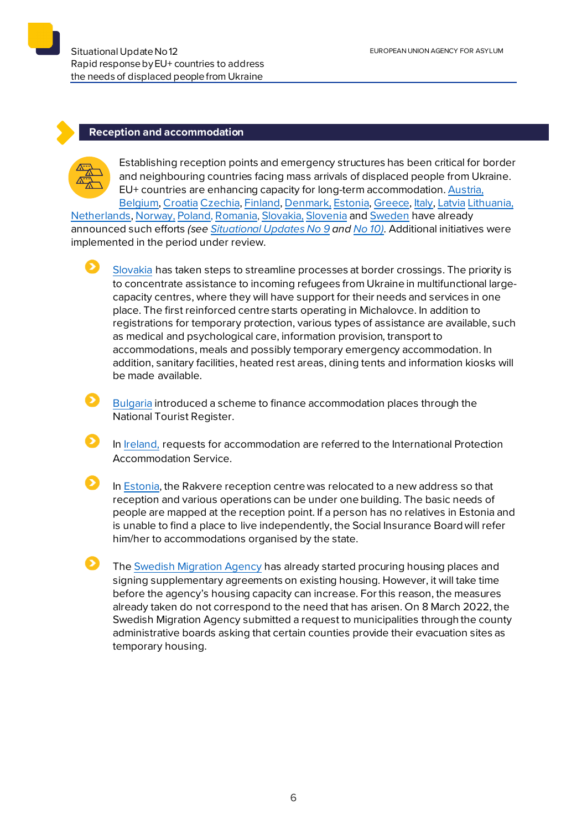#### **Reception and accommodation**



Establishing reception points and emergency structures has been critical for border and neighbouring countries facing mass arrivals of displaced people from Ukraine. EU+ countries are enhancing capacity for long-term accommodation[. Austria](https://www.bmi.gv.at/news.aspx?id=7377444259556F4164696B3D), [Belgium,](https://www.fedasil.be/fr/actualites/accueil-des-demandeurs-dasile/accueil-de-crise-molenbeek-pour-les-ukrainiens) [Croatia](https://mup.gov.hr/vijesti/u-hrvatsku-stiglo-190-izbjeglica-pripremamo-se-za-masovniji-val/288536) [Czechia,](http://www.suz.cz/informace-pro-nove-prichozi-obcany-ukrajiny/) [Finland,](https://migri.fi/en/-/finnish-immigration-service-closely-monitoring-situation-in-ukraine) [Denmark,](https://us.dk/nyheder/2022/marts/ukraine-faq/) [Estonia](https://www.sotsiaalkindlustusamet.ee/et/uudised/eestisse-joudnud-esimesed-ukraina-sojapogenikud), [Greece](https://migration.gov.gr/ukraina_ukr/), [Italy,](https://www.ansa.it/sito/notizie/mondo/2022/02/27/ucraina-oggi-il-cdm-su-energia-e-aiuti-militari-a-kiev_22f90df1-74c8-4d4f-b245-b74839582e90.html) [Latvia](https://www.rs.gov.lv/lv/informacija-ukrainas-pilsoniem-kuri-izcelo-no-ukrainas-militara-konflikta-del) [Lithuania,](https://vrm.lrv.lt/lt/naujienos/vrm-kaip-vyks-karo-pabegeliu-is-ukrainos-priemimas)

Netherlands[, Norway,](https://www.udi.no/nn/aktuelt/ankomster-av-ukrainske-flyktninger-til-norge/) [Poland,](https://www.gov.pl/web/mswia/minister-kaminski-wszystkim-naszym-ukrainskim-braciom-okazemy-solidarnosc-i-wsparcie) [Romania,](https://www.facebook.com/departamenturgente/posts/371184541499380) [Slovakia,](https://www.minv.sk/?tlacove-spravy&sprava=ministerstvo-vnutra-k-aktualnemu-dianiu-na-ukrajine) [Slovenia](https://www.gov.si/novice/2022-03-05-javni-poziv-za-zagotavljanje-nastanitvenih-objektov-za-namen-pomoci-ob-resevanju-krize-v-ukrajini/) and [Sweden](https://www.migrationsverket.se/Om-Migrationsverket/Pressrum/Nyhetsarkiv/Nyhetsarkiv-2022/2022-02-24-Migrationsverket-har-okad-beredskap-efter-utvecklingen-i-Ukraina.html) have already announced such efforts *(see [Situational Updates](https://euaa.europa.eu/sites/default/files/publications/2022-03/2022_situational_update_9_Ukraine_EN_1.pdf) No 9 an[d No](https://euaa.europa.eu/publications/rapid-response-eu-countries-address-needs-displaced-people-ukraine-0) 10).* Additional initiatives were implemented in the period under review.

[Slovakia](https://www.minv.sk/?tlacove-spravy&sprava=v-michalovciach-zacalo-fungovat-multifunkcne-velkokapacitne-centrum-na-pomoc-utecencom) has taken steps to streamline processes at border crossings. The priority is to concentrate assistance to incoming refugees from Ukraine in multifunctional largecapacity centres, where they will have support for their needs and services in one place. The first reinforced centre starts operating in Michalovce. In addition to registrations for temporary protection, various types of assistance are available, such as medical and psychological care, information provision, transport to accommodations, meals and possibly temporary emergency accommodation. In addition, sanitary facilities, heated rest areas, dining tents and information kiosks will be made available.

[Bulgaria](https://ukraine.gov.bg/2022/03/11/information-about-temporary-protection/) introduced a scheme to finance accommodation places through the National Tourist Register.

In [Ireland,](https://www.gov.ie/en/publication/62512-accommodation/) requests for accommodation are referred to the International Protection Accommodation Service.

In [Estonia,](https://www.sotsiaalkindlustusamet.ee/et/uudised/rakvere-sojapogenike-vastuvotupunkt-asub-nuud-uuel-aadressil) the Rakvere reception centre was relocated to a new address so that reception and various operations can be under one building. The basic needs of people are mapped at the reception point. If a person has no relatives in Estonia and is unable to find a place to live independently, the Social Insurance Board will refer him/her to accommodations organised by the state.

 $\mathbf{\Omega}$ The [Swedish Migration Agency](https://www.migrationsverket.se/English/About-the-Migration-Agency/For-press/News-archive/News-archive-2022/2022-03-15-The-Swedish-Migration-Agency-needs-the-municipalities-evacuation-sites.html) has already started procuring housing places and signing supplementary agreements on existing housing. However, it will take time before the agency's housing capacity can increase. For this reason, the measures already taken do not correspond to the need that has arisen. On 8 March 2022, the Swedish Migration Agency submitted a request to municipalities through the county administrative boards asking that certain counties provide their evacuation sites as temporary housing.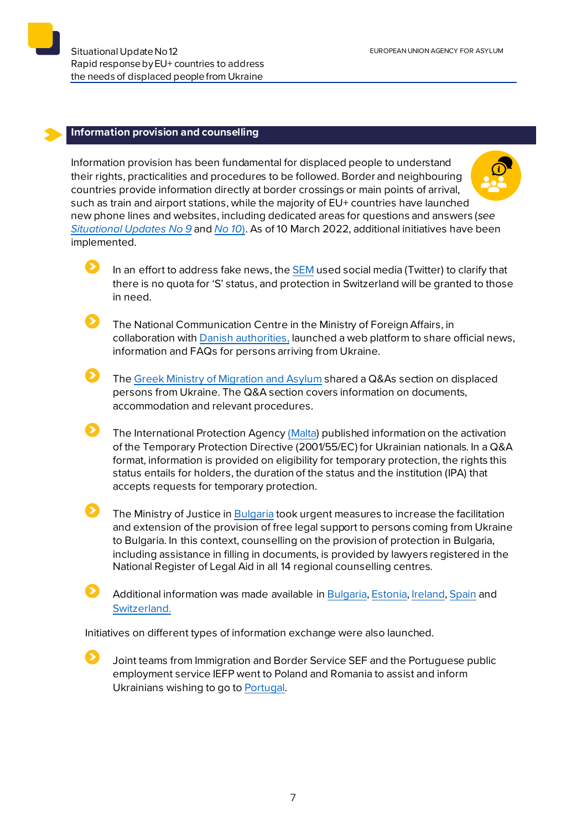$\mathbf{\Sigma}$ 

Ω

#### **Information provision and counselling**

Information provision has been fundamental for displaced people to understand their rights, practicalities and procedures to be followed. Border and neighbouring countries provide information directly at border crossings or main points of arrival, such as train and airport stations, while the majority of EU+ countries have launched new phone lines and websites, including dedicated areas for questions and answers (*see [Situational Updates](https://euaa.europa.eu/sites/default/files/publications/2022-03/2022_situational_update_9_Ukraine_EN_1.pdf) No 9* and *[No 10](https://euaa.europa.eu/publications/rapid-response-eu-countries-address-needs-displaced-people-ukraine-0)*). As of 10 March 2022, additional initiatives have been implemented.

- In an effort to address fake news, the [SEM](https://twitter.com/SEMIGRATION/status/1503779360968515587) used social media (Twitter) to clarify that there is no quota for 'S' status, and protection in Switzerland will be granted to those in need.
- The National Communication Centre in the Ministry of Foreign Affairs, in collaboration with [Danish authorities,](https://en.kriseinformation.dk/for-ukrainians) launched a web platform to share official news, information and FAQs for persons arriving from Ukraine.
- The Greek Ministry [of Migration and Asylum](https://migration.gov.gr/ukraine/) shared a Q&As section on displaced persons from Ukraine. The Q&A section covers information on documents, accommodation and relevant procedures.
- $\bullet$ The International Protection Agenc[y \(Malta\)](https://homeaffairs.gov.mt/en/MHAS-Departments/International%20Protection%20Agency/Pages/Temporary-Protection-Directive---Ukraine.aspx) published information on the activation of the Temporary Protection Directive (2001/55/EC) for Ukrainian nationals. In a Q&A format, information is provided on eligibility for temporary protection, the rights this status entails for holders, the duration of the status and the institution (IPA) that accepts requests for temporary protection.
	- The Ministry of Justice i[n Bulgaria](https://ukraine.gov.bg/2022/03/11/the-ministry-of-justice-has-taken-urgent-measures-in-view-of-its-powers-to-maximise-the-facilitation-and-expansion-of-the-regime-for-providing-free-legal-support-to-ukrainian-and-bulgarian-citizens/) took urgent measures to increase the facilitation and extension of the provision of free legal support to persons coming from Ukraine to Bulgaria. In this context, counselling on the provision of protection in Bulgaria, including assistance in filling in documents, is provided by lawyers registered in the National Register of Legal Aid in all 14 regional counselling centres.
		- Additional information was made available in [Bulgaria,](https://www.aref.government.bg/index.php/bg/node/499) [Estonia,](https://sotsiaalkindlustusamet.ee/et/ukraina) [Ireland,](https://www.gov.ie/en/campaigns/bc537-irelands-response-to-the-situation-in-ukraine/) [Spain](https://www.inclusion.gob.es/es/ucrania/protecciontemporal/index.htm) and [Switzerland.](https://www.sem.admin.ch/sem/en/home/sem/aktuell/ukraine-krieg.html)

Initiatives on different types of information exchange were also launched.

Joint teams from Immigration and Border Service SEF and the Portuguese public employment service IEFP went to Poland and Romania to assist and inform Ukrainians wishing to go t[o Portugal.](https://www.portugal.gov.pt/pt/gc22/comunicacao/comunicado?i=equipas-conjuntas-do-iefp-e-do-sef-partiram-hoje-para-a-polonia-e-romenia-para-apoio-aos-refugiados-ucranianos)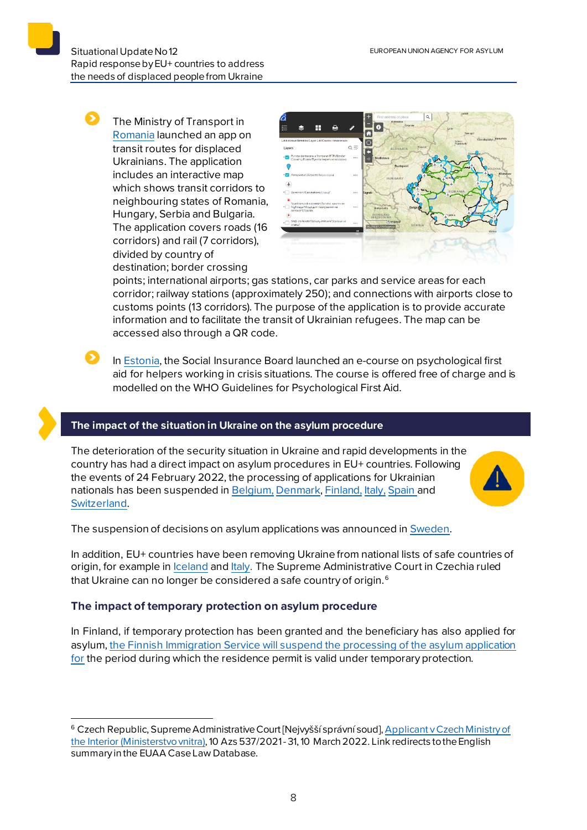The Ministry of Transport in [Romania](https://cestrin.maps.arcgis.com/apps/webappviewer/index.html?id=68e8bb8089cc4d3f9d0a0cbe44afc425&fbclid=IwAR1XHCizxlTVzy5Gy_6rpC97wLVaFyGe-iAPwnOlLTcL-T96k4VrG_dAytw) launched an app on transit routes for displaced Ukrainians. The application includes an interactive map which shows transit corridors to neighbouring states of Romania, Hungary, Serbia and Bulgaria. The application covers roads (16 corridors) and rail (7 corridors), divided by country of destination; border crossing



points; international airports; gas stations, car parks and service areas for each corridor; railway stations (approximately 250); and connections with airports close to customs points (13 corridors). The purpose of the application is to provide accurate information and to facilitate the transit of Ukrainian refugees. The map can be accessed also through a QR code.

In [Estonia,](https://www.sotsiaalkindlustusamet.ee/et/uudised/valminud-psuhholoogilise-esmaabi-e-kursus-kriisi-sattunud-inimeste-abistajatele) the Social Insurance Board launched an e-course on psychological first aid for helpers working in crisis situations. The course is offered free of charge and is modelled on the WHO Guidelines for Psychological First Aid.

## **The impact of the situation in Ukraine on the asylum procedure**

The deterioration of the security situation in Ukraine and rapid developments in the country has had a direct impact on asylum procedures in EU+ countries. Following the events of 24 February 2022, the processing of applications for Ukrainian nationals has been suspended i[n Belgium](https://www.cgra.be/en/news/situation-ukraine-freeze-processing-applications), [Denmark](https://fln.dk/da/Nyheder/Nyhedsarkiv/2022/240220221), [Finland,](https://migri.fi/en/-/finnish-immigration-service-closely-monitoring-situation-in-ukraine) [Italy,](https://caselaw.euaa.europa.eu/pages/viewcaselaw.aspx?CaseLawID=2403) [Spain](https://caselaw.euaa.europa.eu/pages/viewcaselaw.aspx?CaseLawID=2404&returnurl=/pages/digest.aspx) and [Switzerland.](https://www.sem.admin.ch/sem/en/home/sem/aktuell/ukraine-krieg.html)



The suspension of decisions on asylum applications was announced in [Sweden](https://www.migrationsverket.se/English/About-the-Migration-Agency/The-situation-in-Ukraine.html).

In addition, EU+ countries have been removing Ukraine from national lists of safe countries of origin, for example in [Iceland](https://utl.is/index.php/en/list-of-safe-countries) and [Italy.](https://www.asgi.it/primo-piano/ucraina-tavolo-asilo-e-immigrazione-si-accolgano-i-profughi-della-guerra/) The Supreme Administrative Court in Czechia ruled that Ukraine can no longer be considered a safe country of origin. $^6$  $^6$ 

## **The impact of temporary protection on asylum procedure**

In Finland, if temporary protection has been granted and the beneficiary has also applied for asylum, [the Finnish Immigration Service will suspend the processing of the](https://migri.fi/tilapainen-suojelu#turvapaikka) asylum application [for](https://migri.fi/tilapainen-suojelu#turvapaikka) the period during which the residence permit is valid under temporary protection.

<span id="page-7-0"></span><sup>&</sup>lt;sup>6</sup> Czech Republic, Supreme Administrative Court [Nejvyšší správní soud], Applicant v Czech Ministry of [the Interior \(Ministerstvo vnitra\),](https://caselaw.euaa.europa.eu/pages/viewcaselaw.aspx?CaseLawID=2435) 10 Azs 537/2021 - 31, 10 March 2022. Link redirects to the English summary in the EUAA Case Law Database.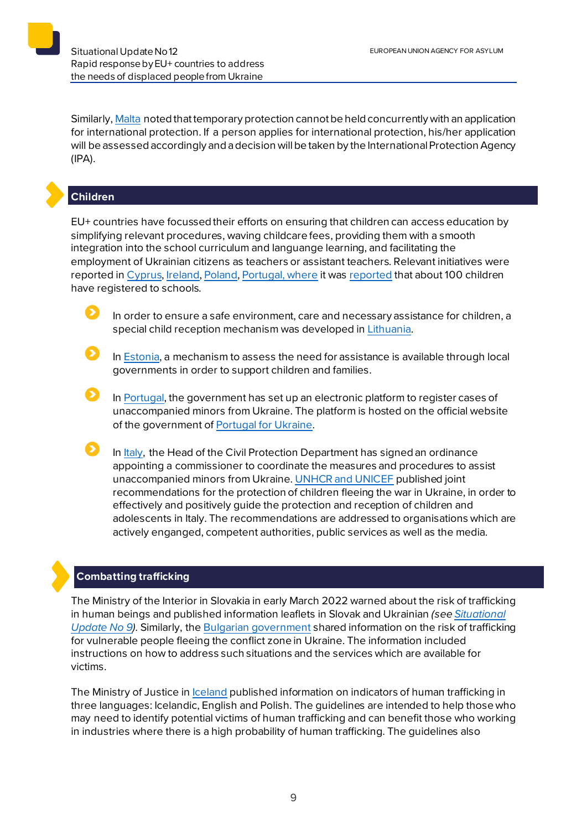Similarly, [Malta](https://homeaffairs.gov.mt/en/MHAS-Departments/International%20Protection%20Agency/Pages/Temporary-Protection-Directive---Ukraine.aspx) noted that temporary protection cannot be held concurrently with an application for international protection. If a person applies for international protection, his/her application will be assessed accordingly and a decision will be taken by the International Protection Agency (IPA).

## **Children**

EU+ countries have focussedtheir efforts on ensuring that children can access education by simplifying relevant procedures, waving childcare fees, providing them with a smooth integration into the school curriculum and languange learning, and facilitating the employment of Ukrainian citizens as teachers or assistant teachers. Relevant initiatives were reported in [Cyprus,](https://www.pio.gov.cy/%CE%B1%CE%BD%CE%B1%CE%BA%CE%BF%CE%B9%CE%BD%CF%89%CE%B8%CE%AD%CE%BD%CF%84%CE%B1-%CE%AC%CF%81%CE%B8%CF%81%CE%BF.html?id=26662#flat) [Ireland,](https://www.gov.ie/en/publication/320e9-employment-and-education/) [Poland,](https://www.gov.pl/web/edukacja-i-nauka/ustawa-o-pomocy-obywatelom-ukrainy-w-zwiazku-z-konfliktem-zbrojnym-na-terytorium-tego-panstwa--juz-obowiazuje) [Portugal,](https://www.portugal.gov.pt/pt/gc22/comunicacao/noticia?i=escolas-portuguesas-estao-preparadas-para-receber-criancas-da-ucrania) where it was [reported](https://www.portugal.gov.pt/pt/gc22/comunicacao/noticia?i=uma-centena-de-refugiados-ucranianos-ja-estao-matriculados-nas-escolas-portuguesas) that about 100 children have registered to schools.

In order to ensure a safe environment, care and necessary assistance for children, a special child reception mechanism was developed i[n Lithuania.](https://socmin.lrv.lt/lt/naujienos/apie-i-lietuva-be-tevu-atvykstancius-vaikus-is-ukrainos-butina-pranesti)

In [Estonia,](https://sotsiaalkindlustusamet.ee/et/ukraina) a mechanism to assess the need for assistance is available through local governments in order to support children and families.

In [Portugal,](https://www.portugal.gov.pt/pt/gc22/comunicacao/noticia?i=governo-cria-plataforma-de-registo-e-protecao-a-criancas-ucranianas) the government has set up an electronic platform to register cases of unaccompanied minors from Ukraine. The platform is hosted on the official website of the government of [Portugal for Ukraine.](https://portugalforukraine.gov.pt/)

In [Italy,](https://www.protezionecivile.gov.it/it/normativa/ocdpc-n-876-del-13-marzo-2022-0) the Head of the Civil Protection Department has signed an ordinance appointing a commissioner to coordinate the measures and procedures to assist unaccompanied minors from Ukraine. [UNHCR and UNICEF](https://www.datocms-assets.com/30196/1647270370-crisi-ucraina-advocacy-points-child-protection-140322-fin.pdf) published joint recommendations for the protection of children fleeing the war in Ukraine, in order to effectively and positively guide the protection and reception of children and adolescents in Italy. The recommendations are addressed to organisations which are actively enganged, competent authorities, public services as well as the media.

## **Combatting trafficking**

The Ministry of the Interior in Slovakia in early March 2022 warned about the risk of trafficking in human beings and published information leaflets in Slovak and Ukrainian *(se[e Situational](https://euaa.europa.eu/sites/default/files/publications/2022-03/2022_situational_update_9_Ukraine_EN_1.pdf)  [Update No 9\)](https://euaa.europa.eu/sites/default/files/publications/2022-03/2022_situational_update_9_Ukraine_EN_1.pdf).* Similarly, the [Bulgarian government](https://ukraine.gov.bg/2022/03/15/human-trafficking-important-information-for-ukrainian-citizens-seeking-protection-in-bulgaria/) shared information on the risk of trafficking for vulnerable people fleeing the conflict zone in Ukraine. The information included instructions on how to address such situations and the services which are available for victims.

The Ministry of Justice in **Iceland published information on indicators of human trafficking in** three languages: Icelandic, English and Polish. The guidelines are intended to help those who may need to identify potential victims of human trafficking and can benefit those who working in industries where there is a high probability of human trafficking. The guidelines also